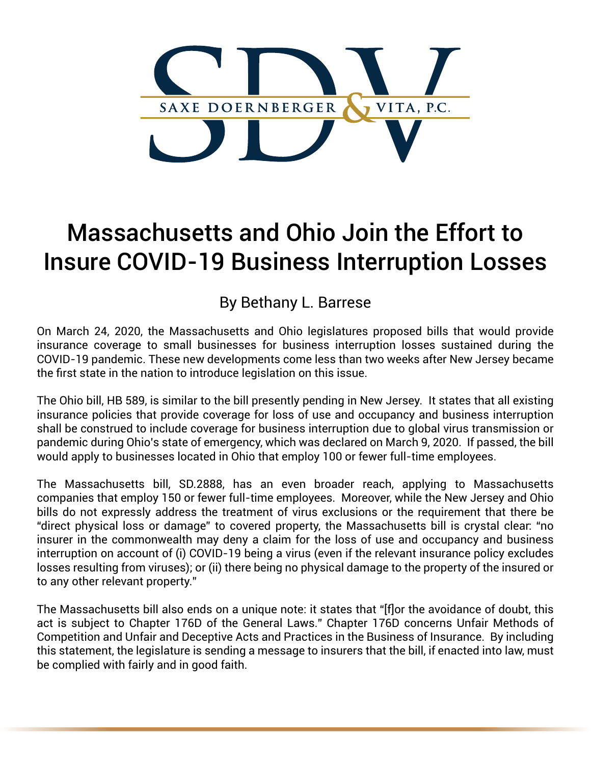

## Massachusetts and Ohio Join the Effort to Insure COVID-19 Business Interruption Losses

## By Bethany L. Barrese

On March 24, 2020, the Massachusetts and Ohio legislatures proposed bills that would provide insurance coverage to small businesses for business interruption losses sustained during the COVID-19 pandemic. These new developments come less than two weeks after New Jersey became the first state in the nation to introduce legislation on this issue.

The Ohio bill, HB 589, is similar to the bill presently pending in New Jersey. It states that all existing insurance policies that provide coverage for loss of use and occupancy and business interruption shall be construed to include coverage for business interruption due to global virus transmission or pandemic during Ohio's state of emergency, which was declared on March 9, 2020. If passed, the bill would apply to businesses located in Ohio that employ 100 or fewer full-time employees.

The Massachusetts bill, SD.2888, has an even broader reach, applying to Massachusetts companies that employ 150 or fewer full-time employees. Moreover, while the New Jersey and Ohio bills do not expressly address the treatment of virus exclusions or the requirement that there be "direct physical loss or damage" to covered property, the Massachusetts bill is crystal clear: "no insurer in the commonwealth may deny a claim for the loss of use and occupancy and business interruption on account of (i) COVID-19 being a virus (even if the relevant insurance policy excludes losses resulting from viruses); or (ii) there being no physical damage to the property of the insured or to any other relevant property."

The Massachusetts bill also ends on a unique note: it states that "[f]or the avoidance of doubt, this act is subject to Chapter 176D of the General Laws." Chapter 176D concerns Unfair Methods of Competition and Unfair and Deceptive Acts and Practices in the Business of Insurance. By including this statement, the legislature is sending a message to insurers that the bill, if enacted into law, must be complied with fairly and in good faith.